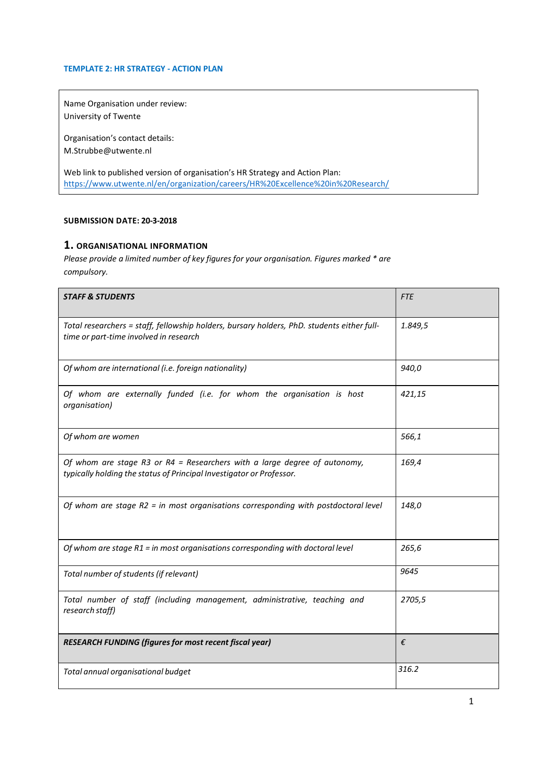#### TEMPLATE 2: HR STRATEGY - ACTION PLAN

Name Organisation under review: University of Twente

Organisation's contact details: M.Strubbe@utwente.nl

Web link to published version of organisation's HR Strategy and Action Plan: https://www.utwente.nl/en/organization/careers/HR%20Excellence%20in%20Research/

#### SUBMISSION DATE: 20-3-2018

## 1. ORGANISATIONAL INFORMATION

Please provide a limited number of key figures for your organisation. Figures marked \* are compulsory.

| <b>STAFF &amp; STUDENTS</b>                                                                                                                       | <b>FTE</b> |
|---------------------------------------------------------------------------------------------------------------------------------------------------|------------|
| Total researchers = staff, fellowship holders, bursary holders, PhD. students either full-<br>time or part-time involved in research              | 1.849,5    |
| Of whom are international (i.e. foreign nationality)                                                                                              | 940,0      |
| Of whom are externally funded (i.e. for whom the organisation is host<br>organisation)                                                            | 421,15     |
| Of whom are women                                                                                                                                 | 566,1      |
| Of whom are stage R3 or R4 = Researchers with a large degree of autonomy,<br>typically holding the status of Principal Investigator or Professor. | 169,4      |
| Of whom are stage $R2$ = in most organisations corresponding with postdoctoral level                                                              | 148,0      |
| Of whom are stage R1 = in most organisations corresponding with doctoral level                                                                    | 265,6      |
| Total number of students (if relevant)                                                                                                            | 9645       |
| Total number of staff (including management, administrative, teaching and<br>research staff)                                                      | 2705,5     |
| RESEARCH FUNDING (figures for most recent fiscal year)                                                                                            | €          |
| Total annual organisational budget                                                                                                                | 316.2      |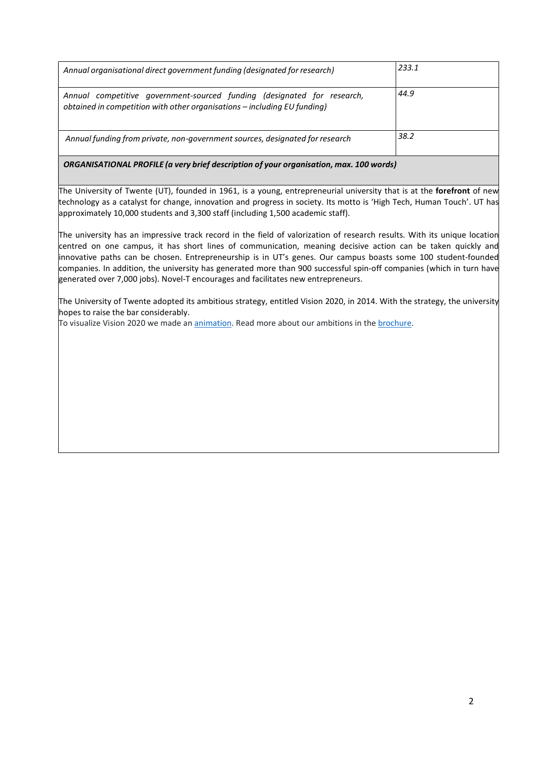| Annual organisational direct government funding (designated for research)                                                                           | 233.1 |
|-----------------------------------------------------------------------------------------------------------------------------------------------------|-------|
| Annual competitive government-sourced funding (designated for research,<br>obtained in competition with other organisations – including EU funding) | 44.9  |
| Annual funding from private, non-government sources, designated for research                                                                        | 38.2  |

ORGANISATIONAL PROFILE (a very brief description of your organisation, max. 100 words)

The University of Twente (UT), founded in 1961, is a young, entrepreneurial university that is at the forefront of new technology as a catalyst for change, innovation and progress in society. Its motto is 'High Tech, Human Touch'. UT has approximately 10,000 students and 3,300 staff (including 1,500 academic staff).

The university has an impressive track record in the field of valorization of research results. With its unique location centred on one campus, it has short lines of communication, meaning decisive action can be taken quickly and innovative paths can be chosen. Entrepreneurship is in UT's genes. Our campus boasts some 100 student-founded companies. In addition, the university has generated more than 900 successful spin-off companies (which in turn have generated over 7,000 jobs). Novel-T encourages and facilitates new entrepreneurs.

The University of Twente adopted its ambitious strategy, entitled Vision 2020, in 2014. With the strategy, the university hopes to raise the bar considerably.

To visualize Vision 2020 we made an animation. Read more about our ambitions in the brochure.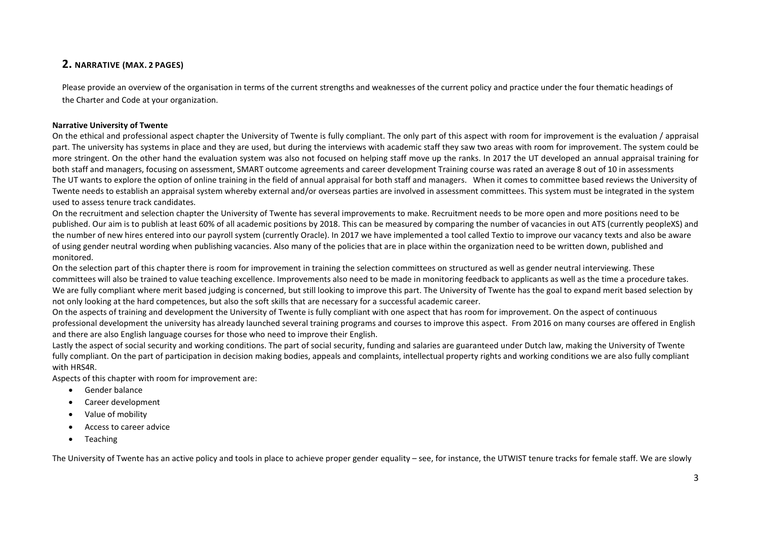## 2. NARRATIVE (MAX. 2 PAGES)

Please provide an overview of the organisation in terms of the current strengths and weaknesses of the current policy and practice under the four thematic headings of the Charter and Code at your organization.

#### Narrative University of Twente

On the ethical and professional aspect chapter the University of Twente is fully compliant. The only part of this aspect with room for improvement is the evaluation / appraisal part. The university has systems in place and they are used, but during the interviews with academic staff they saw two areas with room for improvement. The system could be more stringent. On the other hand the evaluation system was also not focused on helping staff move up the ranks. In 2017 the UT developed an annual appraisal training for both staff and managers, focusing on assessment, SMART outcome agreements and career development Training course was rated an average 8 out of 10 in assessments The UT wants to explore the option of online training in the field of annual appraisal for both staff and managers. When it comes to committee based reviews the University of Twente needs to establish an appraisal system whereby external and/or overseas parties are involved in assessment committees. This system must be integrated in the system used to assess tenure track candidates.

On the recruitment and selection chapter the University of Twente has several improvements to make. Recruitment needs to be more open and more positions need to be published. Our aim is to publish at least 60% of all academic positions by 2018. This can be measured by comparing the number of vacancies in out ATS (currently peopleXS) and the number of new hires entered into our payroll system (currently Oracle). In 2017 we have implemented a tool called Textio to improve our vacancy texts and also be aware of using gender neutral wording when publishing vacancies. Also many of the policies that are in place within the organization need to be written down, published and monitored.

On the selection part of this chapter there is room for improvement in training the selection committees on structured as well as gender neutral interviewing. These committees will also be trained to value teaching excellence. Improvements also need to be made in monitoring feedback to applicants as well as the time a procedure takes. We are fully compliant where merit based judging is concerned, but still looking to improve this part. The University of Twente has the goal to expand merit based selection by not only looking at the hard competences, but also the soft skills that are necessary for a successful academic career.

On the aspects of training and development the University of Twente is fully compliant with one aspect that has room for improvement. On the aspect of continuous professional development the university has already launched several training programs and courses to improve this aspect. From 2016 on many courses are offered in English and there are also English language courses for those who need to improve their English.

Lastly the aspect of social security and working conditions. The part of social security, funding and salaries are guaranteed under Dutch law, making the University of Twente fully compliant. On the part of participation in decision making bodies, appeals and complaints, intellectual property rights and working conditions we are also fully compliant with HRS4R.

Aspects of this chapter with room for improvement are:

- Gender balance
- Career development
- Value of mobility
- Access to career advice
- Teaching

The University of Twente has an active policy and tools in place to achieve proper gender equality – see, for instance, the UTWIST tenure tracks for female staff. We are slowly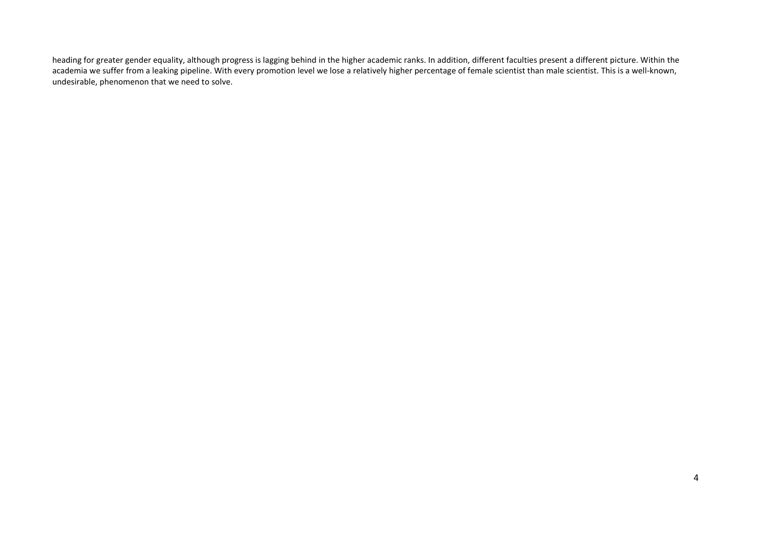heading for greater gender equality, although progress is lagging behind in the higher academic ranks. In addition, different faculties present a different picture. Within the academia we suffer from a leaking pipeline. With every promotion level we lose a relatively higher percentage of female scientist than male scientist. This is a well-known, undesirable, phenomenon that we need to solve.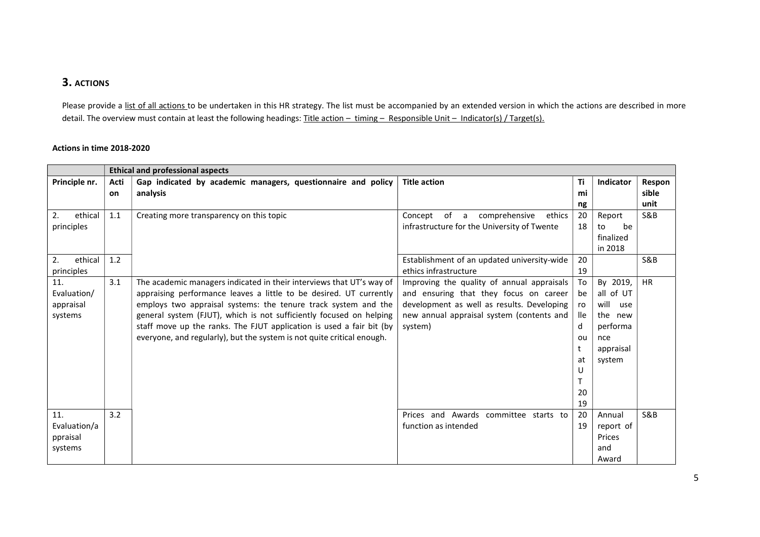# 3. ACTIONS

Please provide a list of all actions to be undertaken in this HR strategy. The list must be accompanied by an extended version in which the actions are described in more detail. The overview must contain at least the following headings: Title action - timing - Responsible Unit - Indicator(s) / Target(s).

#### Actions in time 2018-2020

|               |      | <b>Ethical and professional aspects</b>                                |                                             |     |                  |                |
|---------------|------|------------------------------------------------------------------------|---------------------------------------------|-----|------------------|----------------|
| Principle nr. | Acti | Gap indicated by academic managers, questionnaire and policy           | <b>Title action</b>                         | Τi  | <b>Indicator</b> | Respon         |
|               | on   | analysis                                                               |                                             | mi  |                  | sible          |
|               |      |                                                                        |                                             | ng  |                  | unit           |
| ethical<br>2. | 1.1  | Creating more transparency on this topic                               | of a<br>Concept<br>comprehensive<br>ethics  | 20  | Report           | <b>S&amp;B</b> |
| principles    |      |                                                                        | infrastructure for the University of Twente | 18  | be<br>to         |                |
|               |      |                                                                        |                                             |     | finalized        |                |
|               |      |                                                                        |                                             |     | in 2018          |                |
| ethical<br>2. | 1.2  |                                                                        | Establishment of an updated university-wide | 20  |                  | S&B            |
| principles    |      |                                                                        | ethics infrastructure                       | 19  |                  |                |
| 11.           | 3.1  | The academic managers indicated in their interviews that UT's way of   | Improving the quality of annual appraisals  | To  | By 2019,         | <b>HR</b>      |
| Evaluation/   |      | appraising performance leaves a little to be desired. UT currently     | and ensuring that they focus on career      | be  | all of UT        |                |
| appraisal     |      | employs two appraisal systems: the tenure track system and the         | development as well as results. Developing  | ro  | will<br>use      |                |
| systems       |      | general system (FJUT), which is not sufficiently focused on helping    | new annual appraisal system (contents and   | lle | the new          |                |
|               |      | staff move up the ranks. The FJUT application is used a fair bit (by   | system)                                     | d   | performa         |                |
|               |      | everyone, and regularly), but the system is not quite critical enough. |                                             | ou  | nce              |                |
|               |      |                                                                        |                                             | t   | appraisal        |                |
|               |      |                                                                        |                                             | at  | system           |                |
|               |      |                                                                        |                                             | U   |                  |                |
|               |      |                                                                        |                                             |     |                  |                |
|               |      |                                                                        |                                             | 20  |                  |                |
|               |      |                                                                        |                                             | 19  |                  |                |
| 11.           | 3.2  |                                                                        | Prices and Awards committee starts to       | -20 | Annual           | S&B            |
| Evaluation/a  |      |                                                                        | function as intended                        | 19  | report of        |                |
| ppraisal      |      |                                                                        |                                             |     | Prices           |                |
| systems       |      |                                                                        |                                             |     | and              |                |
|               |      |                                                                        |                                             |     | Award            |                |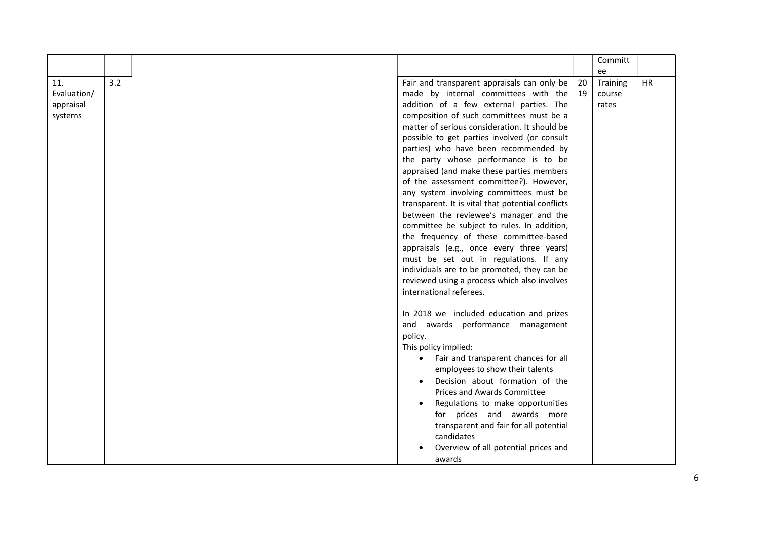| Committ<br>ee |  |
|---------------|--|
|---------------|--|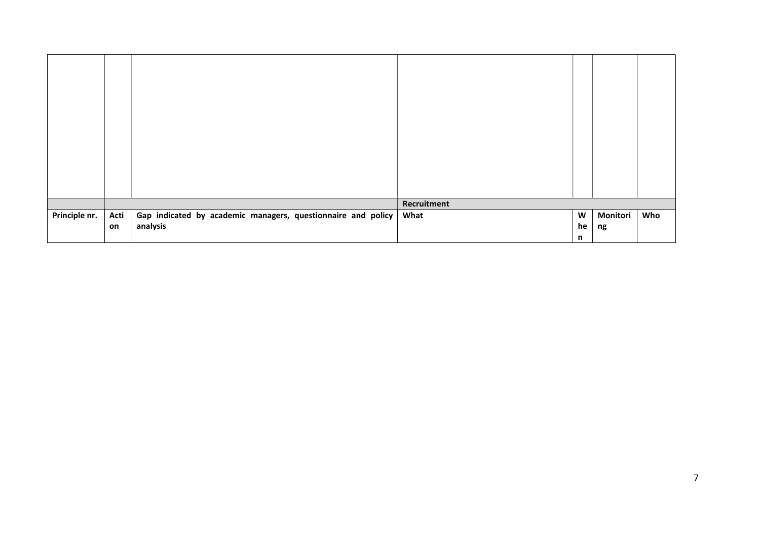|               |      |                                                              | Recruitment |    |          |     |
|---------------|------|--------------------------------------------------------------|-------------|----|----------|-----|
| Principle nr. | Acti | Gap indicated by academic managers, questionnaire and policy | What        | W  | Monitori | Who |
|               | on   | analysis                                                     |             | he | ng       |     |
|               |      |                                                              |             | n  |          |     |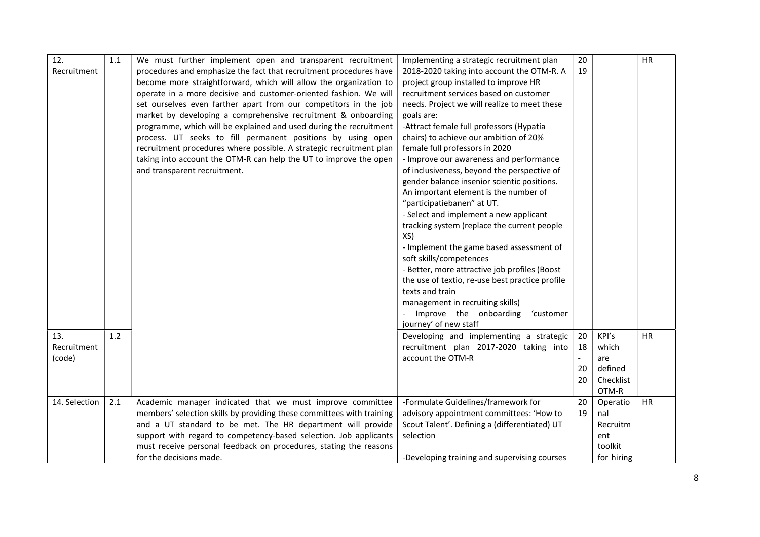| 12.           | 1.1 | We must further implement open and transparent recruitment            | Implementing a strategic recruitment plan       | 20 |            | HR        |
|---------------|-----|-----------------------------------------------------------------------|-------------------------------------------------|----|------------|-----------|
| Recruitment   |     | procedures and emphasize the fact that recruitment procedures have    | 2018-2020 taking into account the OTM-R. A      | 19 |            |           |
|               |     | become more straightforward, which will allow the organization to     | project group installed to improve HR           |    |            |           |
|               |     | operate in a more decisive and customer-oriented fashion. We will     | recruitment services based on customer          |    |            |           |
|               |     | set ourselves even farther apart from our competitors in the job      | needs. Project we will realize to meet these    |    |            |           |
|               |     | market by developing a comprehensive recruitment & onboarding         | goals are:                                      |    |            |           |
|               |     | programme, which will be explained and used during the recruitment    | -Attract female full professors (Hypatia        |    |            |           |
|               |     | process. UT seeks to fill permanent positions by using open           | chairs) to achieve our ambition of 20%          |    |            |           |
|               |     | recruitment procedures where possible. A strategic recruitment plan   | female full professors in 2020                  |    |            |           |
|               |     | taking into account the OTM-R can help the UT to improve the open     | - Improve our awareness and performance         |    |            |           |
|               |     | and transparent recruitment.                                          | of inclusiveness, beyond the perspective of     |    |            |           |
|               |     |                                                                       | gender balance insenior scientic positions.     |    |            |           |
|               |     |                                                                       | An important element is the number of           |    |            |           |
|               |     |                                                                       | "participatiebanen" at UT.                      |    |            |           |
|               |     |                                                                       | - Select and implement a new applicant          |    |            |           |
|               |     |                                                                       | tracking system (replace the current people     |    |            |           |
|               |     |                                                                       | XS)                                             |    |            |           |
|               |     |                                                                       | - Implement the game based assessment of        |    |            |           |
|               |     |                                                                       | soft skills/competences                         |    |            |           |
|               |     |                                                                       | - Better, more attractive job profiles (Boost   |    |            |           |
|               |     |                                                                       | the use of textio, re-use best practice profile |    |            |           |
|               |     |                                                                       | texts and train                                 |    |            |           |
|               |     |                                                                       | management in recruiting skills)                |    |            |           |
|               |     |                                                                       | Improve the onboarding<br>'customer             |    |            |           |
|               |     |                                                                       | journey' of new staff                           |    |            |           |
| 13.           | 1.2 |                                                                       | Developing and implementing a strategic         | 20 | KPI's      | <b>HR</b> |
| Recruitment   |     |                                                                       | recruitment plan 2017-2020 taking into          | 18 | which      |           |
| (code)        |     |                                                                       | account the OTM-R                               |    | are        |           |
|               |     |                                                                       |                                                 | 20 | defined    |           |
|               |     |                                                                       |                                                 | 20 | Checklist  |           |
|               |     |                                                                       |                                                 |    | OTM-R      |           |
| 14. Selection | 2.1 | Academic manager indicated that we must improve committee             | -Formulate Guidelines/framework for             | 20 | Operatio   | <b>HR</b> |
|               |     | members' selection skills by providing these committees with training | advisory appointment committees: 'How to        | 19 | nal        |           |
|               |     | and a UT standard to be met. The HR department will provide           | Scout Talent'. Defining a (differentiated) UT   |    | Recruitm   |           |
|               |     | support with regard to competency-based selection. Job applicants     | selection                                       |    | ent        |           |
|               |     | must receive personal feedback on procedures, stating the reasons     |                                                 |    | toolkit    |           |
|               |     | for the decisions made.                                               | -Developing training and supervising courses    |    | for hiring |           |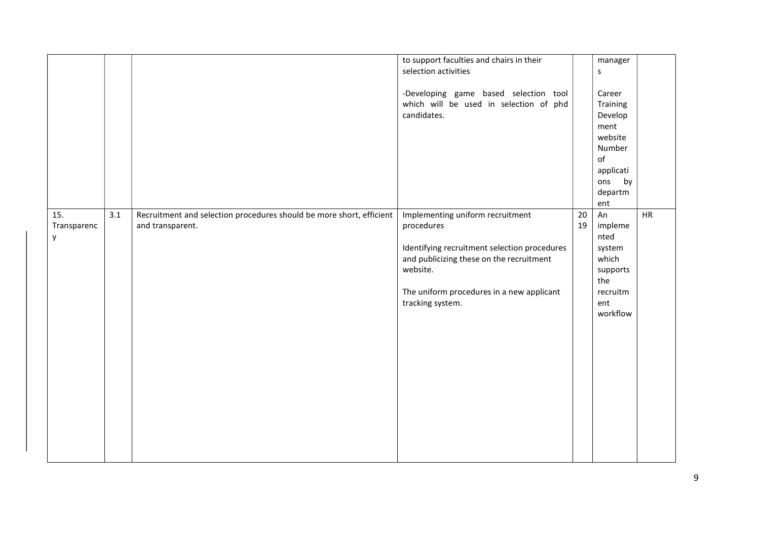|                         |     |                                                                                          | to support faculties and chairs in their<br>selection activities<br>-Developing game based selection tool<br>which will be used in selection of phd<br>candidates.                                                      |          | manager<br>s<br>Career<br>Training<br>Develop<br>ment<br>website<br>Number<br>of<br>applicati<br>ons by<br>departm<br>ent |    |
|-------------------------|-----|------------------------------------------------------------------------------------------|-------------------------------------------------------------------------------------------------------------------------------------------------------------------------------------------------------------------------|----------|---------------------------------------------------------------------------------------------------------------------------|----|
| 15.<br>Transparenc<br>y | 3.1 | Recruitment and selection procedures should be more short, efficient<br>and transparent. | Implementing uniform recruitment<br>procedures<br>Identifying recruitment selection procedures<br>and publicizing these on the recruitment<br>website.<br>The uniform procedures in a new applicant<br>tracking system. | 20<br>19 | An<br>impleme<br>nted<br>system<br>which<br>supports<br>the<br>recruitm<br>ent<br>workflow                                | HR |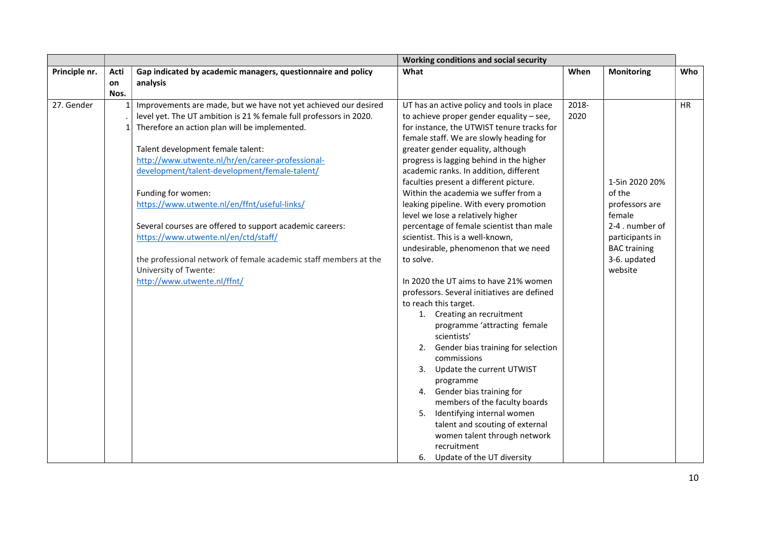|               |                   |                                                                                                                                                                                                                                                                                                                                                                                                                                                                                                                                                                                                                                                    | Working conditions and social security                                                                                                                                                                                                                                                                                                                                                                                                                                                                                                                                                                                                                                                                                            |               |                                                                                                                                              |           |
|---------------|-------------------|----------------------------------------------------------------------------------------------------------------------------------------------------------------------------------------------------------------------------------------------------------------------------------------------------------------------------------------------------------------------------------------------------------------------------------------------------------------------------------------------------------------------------------------------------------------------------------------------------------------------------------------------------|-----------------------------------------------------------------------------------------------------------------------------------------------------------------------------------------------------------------------------------------------------------------------------------------------------------------------------------------------------------------------------------------------------------------------------------------------------------------------------------------------------------------------------------------------------------------------------------------------------------------------------------------------------------------------------------------------------------------------------------|---------------|----------------------------------------------------------------------------------------------------------------------------------------------|-----------|
| Principle nr. | Acti              | Gap indicated by academic managers, questionnaire and policy                                                                                                                                                                                                                                                                                                                                                                                                                                                                                                                                                                                       | What                                                                                                                                                                                                                                                                                                                                                                                                                                                                                                                                                                                                                                                                                                                              | When          | <b>Monitoring</b>                                                                                                                            | Who       |
|               |                   |                                                                                                                                                                                                                                                                                                                                                                                                                                                                                                                                                                                                                                                    |                                                                                                                                                                                                                                                                                                                                                                                                                                                                                                                                                                                                                                                                                                                                   |               |                                                                                                                                              |           |
| 27. Gender    | <b>on</b><br>Nos. | analysis<br>Improvements are made, but we have not yet achieved our desired<br>level yet. The UT ambition is 21 % female full professors in 2020.<br>Therefore an action plan will be implemented.<br>Talent development female talent:<br>http://www.utwente.nl/hr/en/career-professional-<br>development/talent-development/female-talent/<br>Funding for women:<br>https://www.utwente.nl/en/ffnt/useful-links/<br>Several courses are offered to support academic careers:<br>https://www.utwente.nl/en/ctd/staff/<br>the professional network of female academic staff members at the<br>University of Twente:<br>http://www.utwente.nl/ffnt/ | UT has an active policy and tools in place<br>to achieve proper gender equality - see,<br>for instance, the UTWIST tenure tracks for<br>female staff. We are slowly heading for<br>greater gender equality, although<br>progress is lagging behind in the higher<br>academic ranks. In addition, different<br>faculties present a different picture.<br>Within the academia we suffer from a<br>leaking pipeline. With every promotion<br>level we lose a relatively higher<br>percentage of female scientist than male<br>scientist. This is a well-known,<br>undesirable, phenomenon that we need<br>to solve.<br>In 2020 the UT aims to have 21% women<br>professors. Several initiatives are defined<br>to reach this target. | 2018-<br>2020 | 1-5in 2020 20%<br>of the<br>professors are<br>female<br>2-4 . number of<br>participants in<br><b>BAC training</b><br>3-6. updated<br>website | <b>HR</b> |
|               |                   |                                                                                                                                                                                                                                                                                                                                                                                                                                                                                                                                                                                                                                                    | 1. Creating an recruitment<br>programme 'attracting female<br>scientists'<br>2. Gender bias training for selection<br>commissions<br>3. Update the current UTWIST<br>programme<br>4. Gender bias training for<br>members of the faculty boards<br>5. Identifying internal women<br>talent and scouting of external<br>women talent through network<br>recruitment<br>6. Update of the UT diversity                                                                                                                                                                                                                                                                                                                                |               |                                                                                                                                              |           |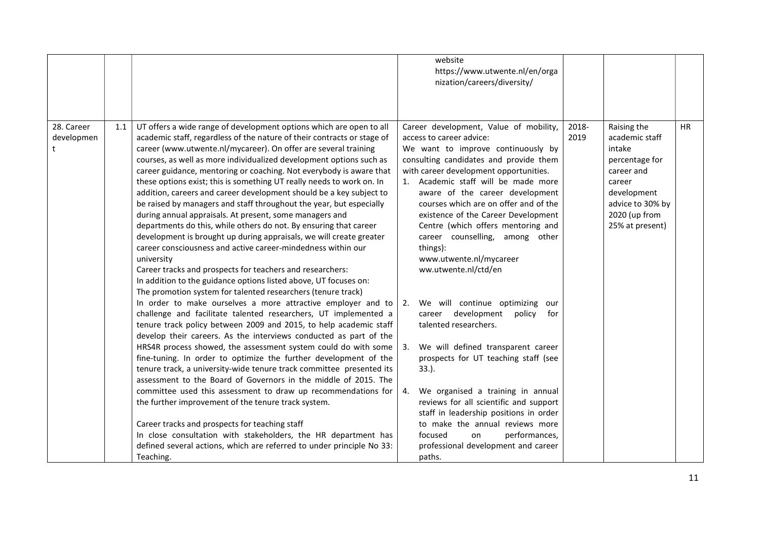|            |     |                                                                         |    | website                                                                          |       |                  |           |
|------------|-----|-------------------------------------------------------------------------|----|----------------------------------------------------------------------------------|-------|------------------|-----------|
|            |     |                                                                         |    | https://www.utwente.nl/en/orga                                                   |       |                  |           |
|            |     |                                                                         |    | nization/careers/diversity/                                                      |       |                  |           |
|            |     |                                                                         |    |                                                                                  |       |                  |           |
|            |     |                                                                         |    |                                                                                  |       |                  |           |
|            |     |                                                                         |    |                                                                                  |       |                  |           |
| 28. Career | 1.1 | UT offers a wide range of development options which are open to all     |    | Career development, Value of mobility,                                           | 2018- | Raising the      | <b>HR</b> |
| developmen |     | academic staff, regardless of the nature of their contracts or stage of |    | access to career advice:                                                         | 2019  | academic staff   |           |
|            |     | career (www.utwente.nl/mycareer). On offer are several training         |    | We want to improve continuously by                                               |       | intake           |           |
|            |     | courses, as well as more individualized development options such as     |    | consulting candidates and provide them                                           |       | percentage for   |           |
|            |     | career guidance, mentoring or coaching. Not everybody is aware that     |    | with career development opportunities.                                           |       | career and       |           |
|            |     | these options exist; this is something UT really needs to work on. In   |    | 1. Academic staff will be made more                                              |       | career           |           |
|            |     | addition, careers and career development should be a key subject to     |    | aware of the career development                                                  |       | development      |           |
|            |     | be raised by managers and staff throughout the year, but especially     |    | courses which are on offer and of the                                            |       | advice to 30% by |           |
|            |     | during annual appraisals. At present, some managers and                 |    | existence of the Career Development                                              |       | 2020 (up from    |           |
|            |     | departments do this, while others do not. By ensuring that career       |    | Centre (which offers mentoring and                                               |       | 25% at present)  |           |
|            |     | development is brought up during appraisals, we will create greater     |    | career counselling, among other                                                  |       |                  |           |
|            |     | career consciousness and active career-mindedness within our            |    | things):                                                                         |       |                  |           |
|            |     | university                                                              |    | www.utwente.nl/mycareer                                                          |       |                  |           |
|            |     | Career tracks and prospects for teachers and researchers:               |    | ww.utwente.nl/ctd/en                                                             |       |                  |           |
|            |     | In addition to the guidance options listed above, UT focuses on:        |    |                                                                                  |       |                  |           |
|            |     | The promotion system for talented researchers (tenure track)            |    |                                                                                  |       |                  |           |
|            |     | In order to make ourselves a more attractive employer and to            | 2. | We will continue optimizing<br>our                                               |       |                  |           |
|            |     | challenge and facilitate talented researchers, UT implemented a         |    | career development<br>policy<br>for                                              |       |                  |           |
|            |     | tenure track policy between 2009 and 2015, to help academic staff       |    | talented researchers.                                                            |       |                  |           |
|            |     | develop their careers. As the interviews conducted as part of the       |    |                                                                                  |       |                  |           |
|            |     | HRS4R process showed, the assessment system could do with some          | 3. | We will defined transparent career                                               |       |                  |           |
|            |     | fine-tuning. In order to optimize the further development of the        |    | prospects for UT teaching staff (see                                             |       |                  |           |
|            |     | tenure track, a university-wide tenure track committee presented its    |    | $33.$ ).                                                                         |       |                  |           |
|            |     | assessment to the Board of Governors in the middle of 2015. The         |    |                                                                                  |       |                  |           |
|            |     | committee used this assessment to draw up recommendations for           | 4. | We organised a training in annual                                                |       |                  |           |
|            |     | the further improvement of the tenure track system.                     |    | reviews for all scientific and support<br>staff in leadership positions in order |       |                  |           |
|            |     | Career tracks and prospects for teaching staff                          |    | to make the annual reviews more                                                  |       |                  |           |
|            |     | In close consultation with stakeholders, the HR department has          |    | focused<br>performances,<br>on                                                   |       |                  |           |
|            |     | defined several actions, which are referred to under principle No 33:   |    | professional development and career                                              |       |                  |           |
|            |     | Teaching.                                                               |    | paths.                                                                           |       |                  |           |
|            |     |                                                                         |    |                                                                                  |       |                  |           |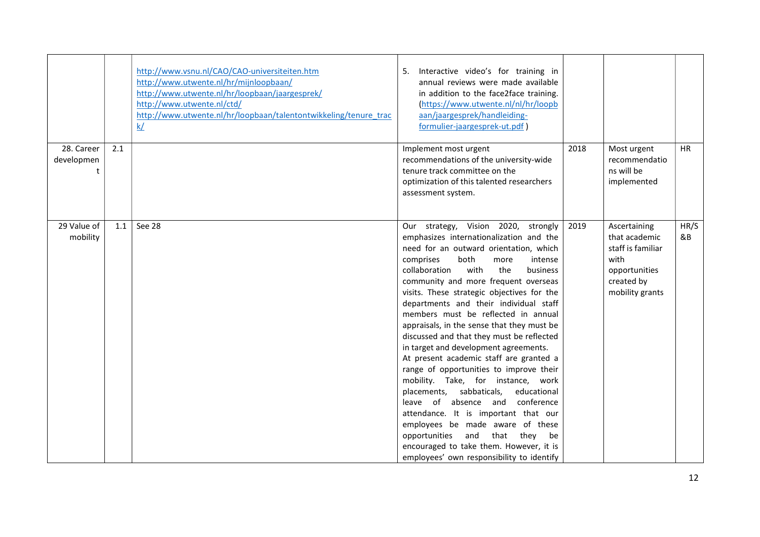|                               |     | http://www.vsnu.nl/CAO/CAO-universiteiten.htm<br>http://www.utwente.nl/hr/mijnloopbaan/<br>http://www.utwente.nl/hr/loopbaan/jaargesprek/<br>http://www.utwente.nl/ctd/<br>http://www.utwente.nl/hr/loopbaan/talentontwikkeling/tenure trac<br>k/ | Interactive video's for training in<br>5.<br>annual reviews were made available<br>in addition to the face2face training.<br>(https://www.utwente.nl/nl/hr/loopb<br>aan/jaargesprek/handleiding-<br>formulier-jaargesprek-ut.pdf)                                                                                                                                                                                                                                                                                                                                                                                                                                                                                                                                                                                                                                                                                                                         |      |                                                                                                              |            |
|-------------------------------|-----|---------------------------------------------------------------------------------------------------------------------------------------------------------------------------------------------------------------------------------------------------|-----------------------------------------------------------------------------------------------------------------------------------------------------------------------------------------------------------------------------------------------------------------------------------------------------------------------------------------------------------------------------------------------------------------------------------------------------------------------------------------------------------------------------------------------------------------------------------------------------------------------------------------------------------------------------------------------------------------------------------------------------------------------------------------------------------------------------------------------------------------------------------------------------------------------------------------------------------|------|--------------------------------------------------------------------------------------------------------------|------------|
| 28. Career<br>developmen<br>t | 2.1 |                                                                                                                                                                                                                                                   | Implement most urgent<br>recommendations of the university-wide<br>tenure track committee on the<br>optimization of this talented researchers<br>assessment system.                                                                                                                                                                                                                                                                                                                                                                                                                                                                                                                                                                                                                                                                                                                                                                                       | 2018 | Most urgent<br>recommendatio<br>ns will be<br>implemented                                                    | <b>HR</b>  |
| 29 Value of<br>mobility       | 1.1 | See 28                                                                                                                                                                                                                                            | Our strategy, Vision 2020, strongly<br>emphasizes internationalization and the<br>need for an outward orientation, which<br>both<br>comprises<br>intense<br>more<br>the<br>business<br>collaboration<br>with<br>community and more frequent overseas<br>visits. These strategic objectives for the<br>departments and their individual staff<br>members must be reflected in annual<br>appraisals, in the sense that they must be<br>discussed and that they must be reflected<br>in target and development agreements.<br>At present academic staff are granted a<br>range of opportunities to improve their<br>mobility. Take, for instance, work<br>placements, sabbaticals,<br>educational<br>absence and<br>conference<br>leave of<br>attendance. It is important that our<br>employees be made aware of these<br>and<br>that<br>opportunities<br>they<br>be<br>encouraged to take them. However, it is<br>employees' own responsibility to identify | 2019 | Ascertaining<br>that academic<br>staff is familiar<br>with<br>opportunities<br>created by<br>mobility grants | HR/S<br>&B |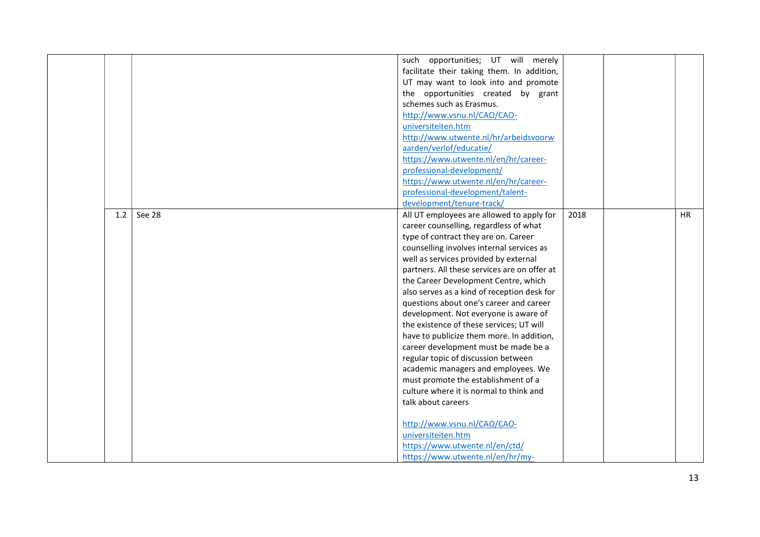|     |        | such opportunities; UT will merely           |      |           |
|-----|--------|----------------------------------------------|------|-----------|
|     |        | facilitate their taking them. In addition,   |      |           |
|     |        | UT may want to look into and promote         |      |           |
|     |        | the opportunities created by grant           |      |           |
|     |        | schemes such as Erasmus.                     |      |           |
|     |        | http://www.vsnu.nl/CAO/CAO-                  |      |           |
|     |        | universiteiten.htm                           |      |           |
|     |        | http://www.utwente.nl/hr/arbeidsvoorw        |      |           |
|     |        | aarden/verlof/educatie/                      |      |           |
|     |        | https://www.utwente.nl/en/hr/career-         |      |           |
|     |        | professional-development/                    |      |           |
|     |        | https://www.utwente.nl/en/hr/career-         |      |           |
|     |        | professional-development/talent-             |      |           |
|     |        | development/tenure-track/                    |      |           |
| 1.2 | See 28 | All UT employees are allowed to apply for    | 2018 | <b>HR</b> |
|     |        | career counselling, regardless of what       |      |           |
|     |        | type of contract they are on. Career         |      |           |
|     |        | counselling involves internal services as    |      |           |
|     |        | well as services provided by external        |      |           |
|     |        | partners. All these services are on offer at |      |           |
|     |        | the Career Development Centre, which         |      |           |
|     |        | also serves as a kind of reception desk for  |      |           |
|     |        | questions about one's career and career      |      |           |
|     |        | development. Not everyone is aware of        |      |           |
|     |        | the existence of these services; UT will     |      |           |
|     |        | have to publicize them more. In addition,    |      |           |
|     |        | career development must be made be a         |      |           |
|     |        | regular topic of discussion between          |      |           |
|     |        | academic managers and employees. We          |      |           |
|     |        | must promote the establishment of a          |      |           |
|     |        | culture where it is normal to think and      |      |           |
|     |        | talk about careers                           |      |           |
|     |        |                                              |      |           |
|     |        | http://www.vsnu.nl/CAO/CAO-                  |      |           |
|     |        | universiteiten.htm                           |      |           |
|     |        | https://www.utwente.nl/en/ctd/               |      |           |
|     |        | https://www.utwente.nl/en/hr/my-             |      |           |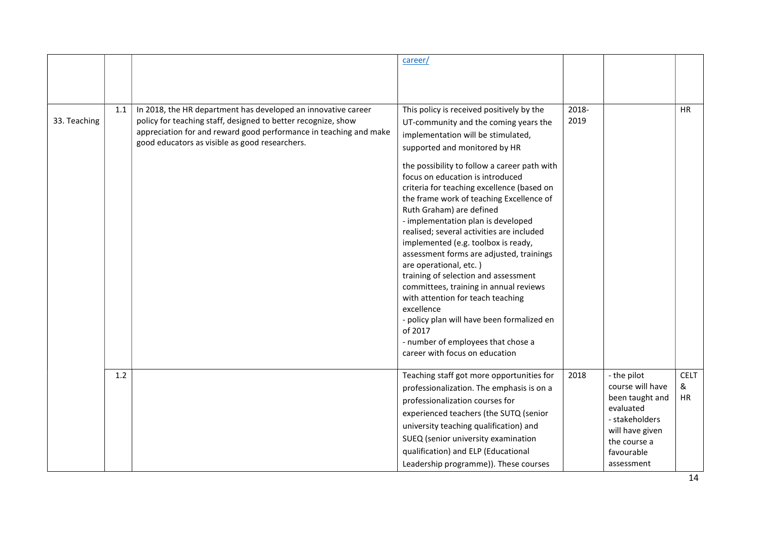|              |     |                                                                                                                                                                                                                                                       | career/                                                                                                                                                                                                                                                                                                                                                                                                                                                                                                                                                                                                                                                                                                                                                                                                                                   |               |                                                                                                                                                  |                        |
|--------------|-----|-------------------------------------------------------------------------------------------------------------------------------------------------------------------------------------------------------------------------------------------------------|-------------------------------------------------------------------------------------------------------------------------------------------------------------------------------------------------------------------------------------------------------------------------------------------------------------------------------------------------------------------------------------------------------------------------------------------------------------------------------------------------------------------------------------------------------------------------------------------------------------------------------------------------------------------------------------------------------------------------------------------------------------------------------------------------------------------------------------------|---------------|--------------------------------------------------------------------------------------------------------------------------------------------------|------------------------|
| 33. Teaching | 1.1 | In 2018, the HR department has developed an innovative career<br>policy for teaching staff, designed to better recognize, show<br>appreciation for and reward good performance in teaching and make<br>good educators as visible as good researchers. | This policy is received positively by the<br>UT-community and the coming years the<br>implementation will be stimulated,<br>supported and monitored by HR<br>the possibility to follow a career path with<br>focus on education is introduced<br>criteria for teaching excellence (based on<br>the frame work of teaching Excellence of<br>Ruth Graham) are defined<br>- implementation plan is developed<br>realised; several activities are included<br>implemented (e.g. toolbox is ready,<br>assessment forms are adjusted, trainings<br>are operational, etc.)<br>training of selection and assessment<br>committees, training in annual reviews<br>with attention for teach teaching<br>excellence<br>- policy plan will have been formalized en<br>of 2017<br>- number of employees that chose a<br>career with focus on education | 2018-<br>2019 |                                                                                                                                                  | HR.                    |
|              | 1.2 |                                                                                                                                                                                                                                                       | Teaching staff got more opportunities for<br>professionalization. The emphasis is on a<br>professionalization courses for<br>experienced teachers (the SUTQ (senior<br>university teaching qualification) and<br>SUEQ (senior university examination<br>qualification) and ELP (Educational<br>Leadership programme)). These courses                                                                                                                                                                                                                                                                                                                                                                                                                                                                                                      | 2018          | - the pilot<br>course will have<br>been taught and<br>evaluated<br>- stakeholders<br>will have given<br>the course a<br>favourable<br>assessment | <b>CELT</b><br>&<br>HR |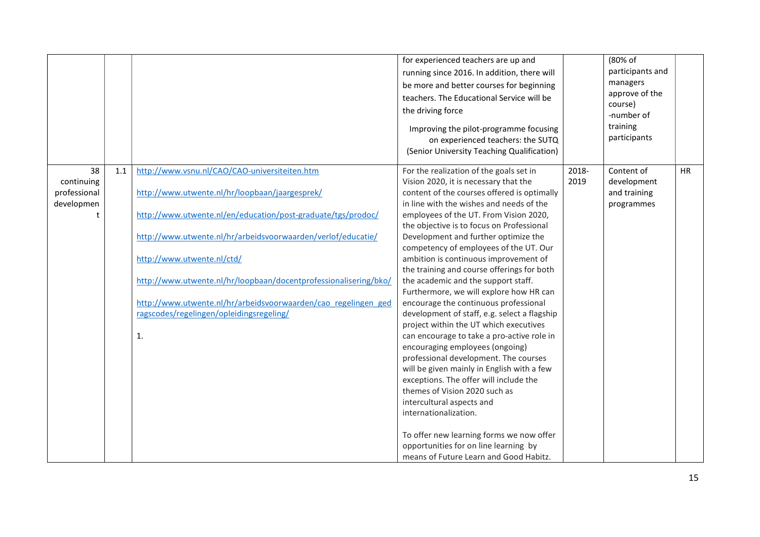|                                                |                                                                                                                                                                                                                                                                                                                                                                                                                                                              | for experienced teachers are up and<br>running since 2016. In addition, there will<br>be more and better courses for beginning<br>teachers. The Educational Service will be<br>the driving force<br>Improving the pilot-programme focusing<br>on experienced teachers: the SUTQ<br>(Senior University Teaching Qualification)                                                                                                                                                                                                                                                                                                                                                                                                                                                                                                                                                                                                                                                                                                                                                                            |               | (80% of<br>participants and<br>managers<br>approve of the<br>course)<br>-number of<br>training<br>participants |           |
|------------------------------------------------|--------------------------------------------------------------------------------------------------------------------------------------------------------------------------------------------------------------------------------------------------------------------------------------------------------------------------------------------------------------------------------------------------------------------------------------------------------------|----------------------------------------------------------------------------------------------------------------------------------------------------------------------------------------------------------------------------------------------------------------------------------------------------------------------------------------------------------------------------------------------------------------------------------------------------------------------------------------------------------------------------------------------------------------------------------------------------------------------------------------------------------------------------------------------------------------------------------------------------------------------------------------------------------------------------------------------------------------------------------------------------------------------------------------------------------------------------------------------------------------------------------------------------------------------------------------------------------|---------------|----------------------------------------------------------------------------------------------------------------|-----------|
| 38<br>continuing<br>professional<br>developmen | http://www.vsnu.nl/CAO/CAO-universiteiten.htm<br>1.1<br>http://www.utwente.nl/hr/loopbaan/jaargesprek/<br>http://www.utwente.nl/en/education/post-graduate/tgs/prodoc/<br>http://www.utwente.nl/hr/arbeidsvoorwaarden/verlof/educatie/<br>http://www.utwente.nl/ctd/<br>http://www.utwente.nl/hr/loopbaan/docentprofessionalisering/bko/<br>http://www.utwente.nl/hr/arbeidsvoorwaarden/cao regelingen ged<br>ragscodes/regelingen/opleidingsregeling/<br>1. | For the realization of the goals set in<br>Vision 2020, it is necessary that the<br>content of the courses offered is optimally<br>in line with the wishes and needs of the<br>employees of the UT. From Vision 2020,<br>the objective is to focus on Professional<br>Development and further optimize the<br>competency of employees of the UT. Our<br>ambition is continuous improvement of<br>the training and course offerings for both<br>the academic and the support staff.<br>Furthermore, we will explore how HR can<br>encourage the continuous professional<br>development of staff, e.g. select a flagship<br>project within the UT which executives<br>can encourage to take a pro-active role in<br>encouraging employees (ongoing)<br>professional development. The courses<br>will be given mainly in English with a few<br>exceptions. The offer will include the<br>themes of Vision 2020 such as<br>intercultural aspects and<br>internationalization.<br>To offer new learning forms we now offer<br>opportunities for on line learning by<br>means of Future Learn and Good Habitz. | 2018-<br>2019 | Content of<br>development<br>and training<br>programmes                                                        | <b>HR</b> |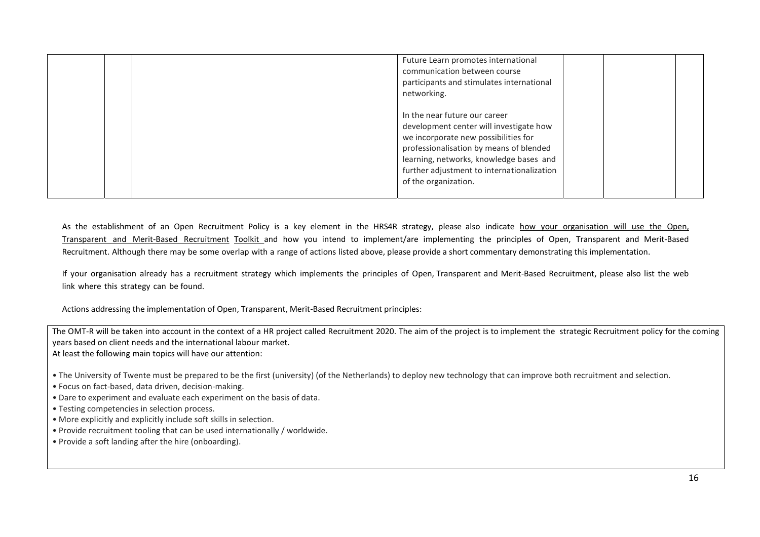|  | Future Learn promotes international<br>communication between course<br>participants and stimulates international<br>networking.                                                                                                                                              |  |  |
|--|------------------------------------------------------------------------------------------------------------------------------------------------------------------------------------------------------------------------------------------------------------------------------|--|--|
|  | In the near future our career<br>development center will investigate how<br>we incorporate new possibilities for<br>professionalisation by means of blended<br>learning, networks, knowledge bases and<br>further adjustment to internationalization<br>of the organization. |  |  |

As the establishment of an Open Recruitment Policy is a key element in the HRS4R strategy, please also indicate how your organisation will use the Open, Transparent and Merit-Based Recruitment Toolkit and how you intend to implement/are implementing the principles of Open, Transparent and Merit-Based Recruitment. Although there may be some overlap with a range of actions listed above, please provide a short commentary demonstrating this implementation.

If your organisation already has a recruitment strategy which implements the principles of Open, Transparent and Merit-Based Recruitment, please also list the web link where this strategy can be found.

Actions addressing the implementation of Open, Transparent, Merit-Based Recruitment principles:

The OMT-R will be taken into account in the context of a HR project called Recruitment 2020. The aim of the project is to implement the strategic Recruitment policy for the coming years based on client needs and the international labour market.

At least the following main topics will have our attention:

• The University of Twente must be prepared to be the first (university) (of the Netherlands) to deploy new technology that can improve both recruitment and selection.

- Focus on fact-based, data driven, decision-making.
- Dare to experiment and evaluate each experiment on the basis of data.
- Testing competencies in selection process.
- More explicitly and explicitly include soft skills in selection.
- Provide recruitment tooling that can be used internationally / worldwide.
- Provide a soft landing after the hire (onboarding).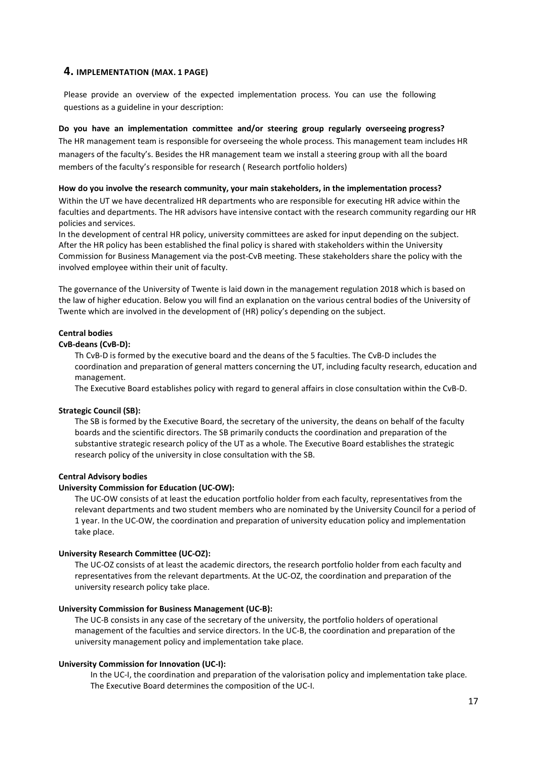## 4. IMPLEMENTATION (MAX. 1 PAGE)

Please provide an overview of the expected implementation process. You can use the following questions as a guideline in your description:

#### Do you have an implementation committee and/or steering group regularly overseeing progress?

The HR management team is responsible for overseeing the whole process. This management team includes HR managers of the faculty's. Besides the HR management team we install a steering group with all the board members of the faculty's responsible for research ( Research portfolio holders)

#### How do you involve the research community, your main stakeholders, in the implementation process?

Within the UT we have decentralized HR departments who are responsible for executing HR advice within the faculties and departments. The HR advisors have intensive contact with the research community regarding our HR policies and services.

In the development of central HR policy, university committees are asked for input depending on the subject. After the HR policy has been established the final policy is shared with stakeholders within the University Commission for Business Management via the post-CvB meeting. These stakeholders share the policy with the involved employee within their unit of faculty.

The governance of the University of Twente is laid down in the management regulation 2018 which is based on the law of higher education. Below you will find an explanation on the various central bodies of the University of Twente which are involved in the development of (HR) policy's depending on the subject.

## Central bodies

#### CvB-deans (CvB-D):

Th CvB-D is formed by the executive board and the deans of the 5 faculties. The CvB-D includes the coordination and preparation of general matters concerning the UT, including faculty research, education and management.

The Executive Board establishes policy with regard to general affairs in close consultation within the CvB-D.

#### Strategic Council (SB):

The SB is formed by the Executive Board, the secretary of the university, the deans on behalf of the faculty boards and the scientific directors. The SB primarily conducts the coordination and preparation of the substantive strategic research policy of the UT as a whole. The Executive Board establishes the strategic research policy of the university in close consultation with the SB.

## Central Advisory bodies

#### University Commission for Education (UC-OW):

The UC-OW consists of at least the education portfolio holder from each faculty, representatives from the relevant departments and two student members who are nominated by the University Council for a period of 1 year. In the UC-OW, the coordination and preparation of university education policy and implementation take place.

#### University Research Committee (UC-OZ):

The UC-OZ consists of at least the academic directors, the research portfolio holder from each faculty and representatives from the relevant departments. At the UC-OZ, the coordination and preparation of the university research policy take place.

#### University Commission for Business Management (UC-B):

The UC-B consists in any case of the secretary of the university, the portfolio holders of operational management of the faculties and service directors. In the UC-B, the coordination and preparation of the university management policy and implementation take place.

#### University Commission for Innovation (UC-I):

In the UC-I, the coordination and preparation of the valorisation policy and implementation take place. The Executive Board determines the composition of the UC-I.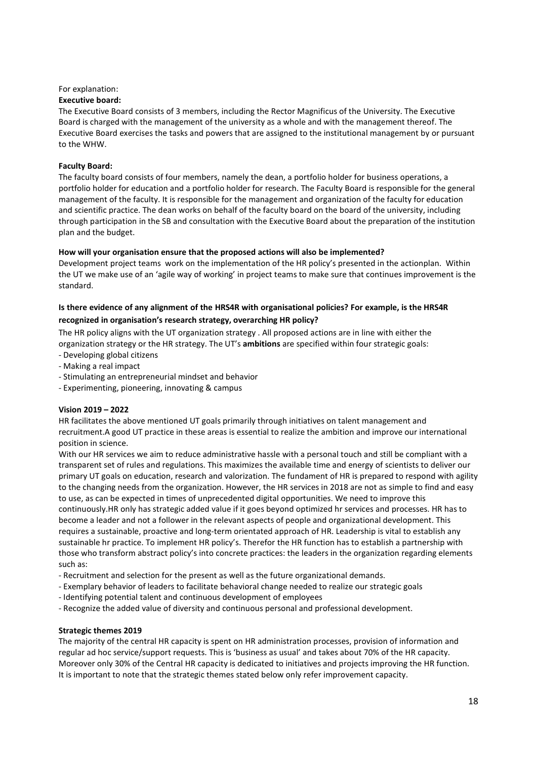# For explanation:

#### Executive board:

The Executive Board consists of 3 members, including the Rector Magnificus of the University. The Executive Board is charged with the management of the university as a whole and with the management thereof. The Executive Board exercises the tasks and powers that are assigned to the institutional management by or pursuant to the WHW.

### Faculty Board:

The faculty board consists of four members, namely the dean, a portfolio holder for business operations, a portfolio holder for education and a portfolio holder for research. The Faculty Board is responsible for the general management of the faculty. It is responsible for the management and organization of the faculty for education and scientific practice. The dean works on behalf of the faculty board on the board of the university, including through participation in the SB and consultation with the Executive Board about the preparation of the institution plan and the budget.

#### How will your organisation ensure that the proposed actions will also be implemented?

Development project teams work on the implementation of the HR policy's presented in the actionplan. Within the UT we make use of an 'agile way of working' in project teams to make sure that continues improvement is the standard.

## Is there evidence of any alignment of the HRS4R with organisational policies? For example, is the HRS4R recognized in organisation's research strategy, overarching HR policy?

The HR policy aligns with the UT organization strategy . All proposed actions are in line with either the organization strategy or the HR strategy. The UT's ambitions are specified within four strategic goals:

- Developing global citizens
- Making a real impact
- Stimulating an entrepreneurial mindset and behavior
- Experimenting, pioneering, innovating & campus

#### Vision 2019 – 2022

HR facilitates the above mentioned UT goals primarily through initiatives on talent management and recruitment.A good UT practice in these areas is essential to realize the ambition and improve our international position in science.

With our HR services we aim to reduce administrative hassle with a personal touch and still be compliant with a transparent set of rules and regulations. This maximizes the available time and energy of scientists to deliver our primary UT goals on education, research and valorization. The fundament of HR is prepared to respond with agility to the changing needs from the organization. However, the HR services in 2018 are not as simple to find and easy to use, as can be expected in times of unprecedented digital opportunities. We need to improve this continuously.HR only has strategic added value if it goes beyond optimized hr services and processes. HR has to become a leader and not a follower in the relevant aspects of people and organizational development. This requires a sustainable, proactive and long-term orientated approach of HR. Leadership is vital to establish any sustainable hr practice. To implement HR policy's. Therefor the HR function has to establish a partnership with those who transform abstract policy's into concrete practices: the leaders in the organization regarding elements such as:

- Recruitment and selection for the present as well as the future organizational demands.
- Exemplary behavior of leaders to facilitate behavioral change needed to realize our strategic goals
- Identifying potential talent and continuous development of employees
- Recognize the added value of diversity and continuous personal and professional development.

#### Strategic themes 2019

The majority of the central HR capacity is spent on HR administration processes, provision of information and regular ad hoc service/support requests. This is 'business as usual' and takes about 70% of the HR capacity. Moreover only 30% of the Central HR capacity is dedicated to initiatives and projects improving the HR function. It is important to note that the strategic themes stated below only refer improvement capacity.